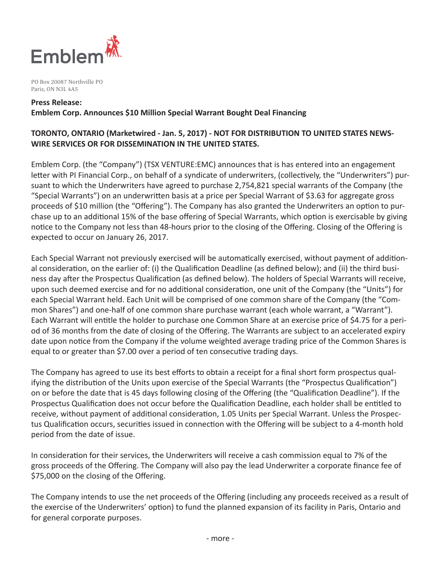

PO Box 20087 Northville PO Paris, ON N3L 4A5

#### **Press Release:**

**Emblem Corp. Announces \$10 Million Special Warrant Bought Deal Financing**

# **TORONTO, ONTARIO (Marketwired - Jan. 5, 2017) - NOT FOR DISTRIBUTION TO UNITED STATES NEWS-WIRE SERVICES OR FOR DISSEMINATION IN THE UNITED STATES.**

Emblem Corp. (the "Company") (TSX VENTURE:EMC) announces that is has entered into an engagement letter with PI Financial Corp., on behalf of a syndicate of underwriters, (collectively, the "Underwriters") pursuant to which the Underwriters have agreed to purchase 2,754,821 special warrants of the Company (the "Special Warrants") on an underwritten basis at a price per Special Warrant of \$3.63 for aggregate gross proceeds of \$10 million (the "Offering"). The Company has also granted the Underwriters an option to purchase up to an additional 15% of the base offering of Special Warrants, which option is exercisable by giving notice to the Company not less than 48-hours prior to the closing of the Offering. Closing of the Offering is expected to occur on January 26, 2017.

Each Special Warrant not previously exercised will be automatically exercised, without payment of additional consideration, on the earlier of: (i) the Qualification Deadline (as defined below); and (ii) the third business day after the Prospectus Qualification (as defined below). The holders of Special Warrants will receive, upon such deemed exercise and for no additional consideration, one unit of the Company (the "Units") for each Special Warrant held. Each Unit will be comprised of one common share of the Company (the "Common Shares") and one-half of one common share purchase warrant (each whole warrant, a "Warrant"). Each Warrant will entitle the holder to purchase one Common Share at an exercise price of \$4.75 for a period of 36 months from the date of closing of the Offering. The Warrants are subject to an accelerated expiry date upon notice from the Company if the volume weighted average trading price of the Common Shares is equal to or greater than \$7.00 over a period of ten consecutive trading days.

The Company has agreed to use its best efforts to obtain a receipt for a final short form prospectus qualifying the distribution of the Units upon exercise of the Special Warrants (the "Prospectus Qualification") on or before the date that is 45 days following closing of the Offering (the "Qualification Deadline"). If the Prospectus Qualification does not occur before the Qualification Deadline, each holder shall be entitled to receive, without payment of additional consideration, 1.05 Units per Special Warrant. Unless the Prospectus Qualification occurs, securities issued in connection with the Offering will be subject to a 4-month hold period from the date of issue.

In consideration for their services, the Underwriters will receive a cash commission equal to 7% of the gross proceeds of the Offering. The Company will also pay the lead Underwriter a corporate finance fee of \$75,000 on the closing of the Offering.

The Company intends to use the net proceeds of the Offering (including any proceeds received as a result of the exercise of the Underwriters' option) to fund the planned expansion of its facility in Paris, Ontario and for general corporate purposes.